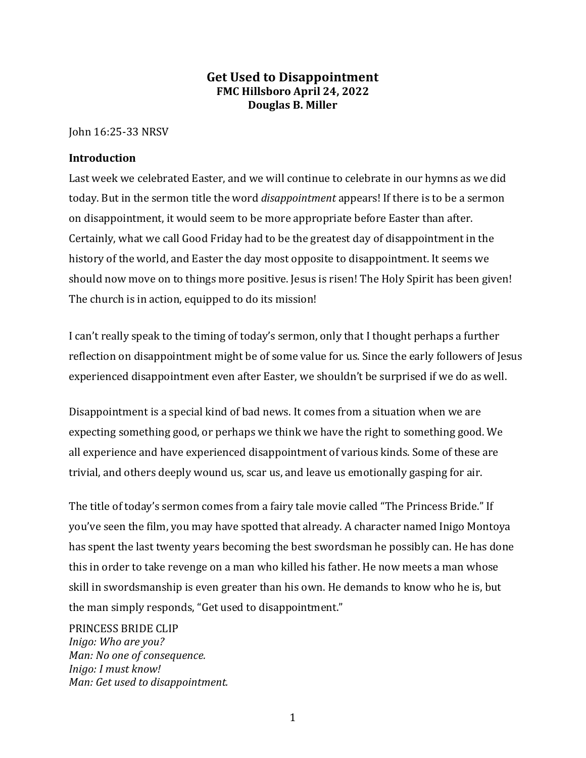## **Get Used to Disappointment FMC Hillsboro April 24, 2022 Douglas B. Miller**

John 16:25-33 NRSV

### **Introduction**

Last week we celebrated Easter, and we will continue to celebrate in our hymns as we did today. But in the sermon title the word *disappointment* appears! If there is to be a sermon on disappointment, it would seem to be more appropriate before Easter than after. Certainly, what we call Good Friday had to be the greatest day of disappointment in the history of the world, and Easter the day most opposite to disappointment. It seems we should now move on to things more positive. Jesus is risen! The Holy Spirit has been given! The church is in action, equipped to do its mission!

I can't really speak to the timing of today's sermon, only that I thought perhaps a further reflection on disappointment might be of some value for us. Since the early followers of Jesus experienced disappointment even after Easter, we shouldn't be surprised if we do as well.

Disappointment is a special kind of bad news. It comes from a situation when we are expecting something good, or perhaps we think we have the right to something good. We all experience and have experienced disappointment of various kinds. Some of these are trivial, and others deeply wound us, scar us, and leave us emotionally gasping for air.

The title of today's sermon comes from a fairy tale movie called "The Princess Bride." If you've seen the film, you may have spotted that already. A character named Inigo Montoya has spent the last twenty years becoming the best swordsman he possibly can. He has done this in order to take revenge on a man who killed his father. He now meets a man whose skill in swordsmanship is even greater than his own. He demands to know who he is, but the man simply responds, "Get used to disappointment."

PRINCESS BRIDE CLIP *Inigo: Who are you? Man: No one of consequence. Inigo: I must know! Man: Get used to disappointment.*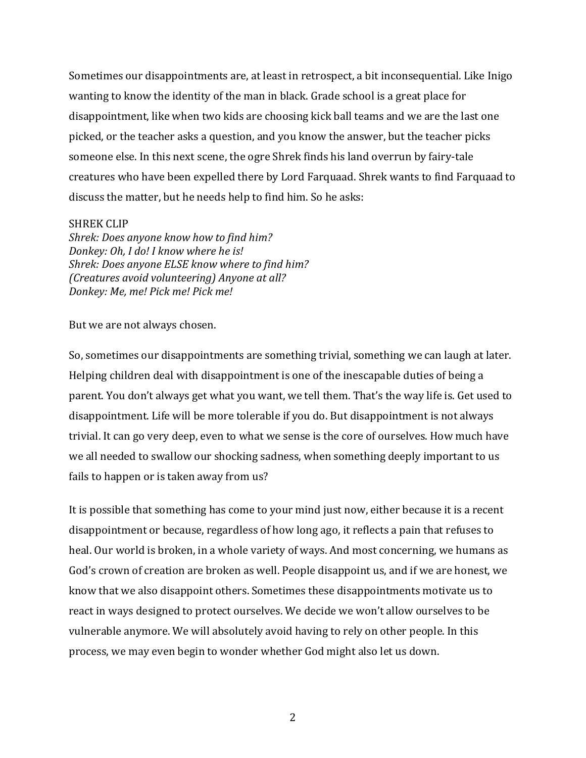Sometimes our disappointments are, at least in retrospect, a bit inconsequential. Like Inigo wanting to know the identity of the man in black. Grade school is a great place for disappointment, like when two kids are choosing kick ball teams and we are the last one picked, or the teacher asks a question, and you know the answer, but the teacher picks someone else. In this next scene, the ogre Shrek finds his land overrun by fairy-tale creatures who have been expelled there by Lord Farquaad. Shrek wants to find Farquaad to discuss the matter, but he needs help to find him. So he asks:

#### SHREK CLIP

*Shrek: Does anyone know how to find him? Donkey: Oh, I do! I know where he is! Shrek: Does anyone ELSE know where to find him? (Creatures avoid volunteering) Anyone at all? Donkey: Me, me! Pick me! Pick me!*

But we are not always chosen.

So, sometimes our disappointments are something trivial, something we can laugh at later. Helping children deal with disappointment is one of the inescapable duties of being a parent. You don't always get what you want, we tell them. That's the way life is. Get used to disappointment. Life will be more tolerable if you do. But disappointment is not always trivial. It can go very deep, even to what we sense is the core of ourselves. How much have we all needed to swallow our shocking sadness, when something deeply important to us fails to happen or is taken away from us?

It is possible that something has come to your mind just now, either because it is a recent disappointment or because, regardless of how long ago, it reflects a pain that refuses to heal. Our world is broken, in a whole variety of ways. And most concerning, we humans as God's crown of creation are broken as well. People disappoint us, and if we are honest, we know that we also disappoint others. Sometimes these disappointments motivate us to react in ways designed to protect ourselves. We decide we won't allow ourselves to be vulnerable anymore. We will absolutely avoid having to rely on other people. In this process, we may even begin to wonder whether God might also let us down.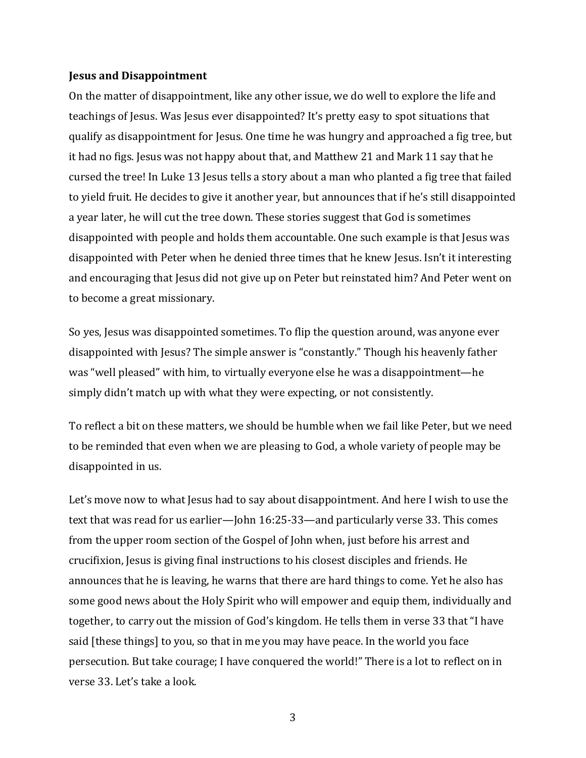#### **Jesus and Disappointment**

On the matter of disappointment, like any other issue, we do well to explore the life and teachings of Jesus. Was Jesus ever disappointed? It's pretty easy to spot situations that qualify as disappointment for Jesus. One time he was hungry and approached a fig tree, but it had no figs. Jesus was not happy about that, and Matthew 21 and Mark 11 say that he cursed the tree! In Luke 13 Jesus tells a story about a man who planted a fig tree that failed to yield fruit. He decides to give it another year, but announces that if he's still disappointed a year later, he will cut the tree down. These stories suggest that God is sometimes disappointed with people and holds them accountable. One such example is that Jesus was disappointed with Peter when he denied three times that he knew Jesus. Isn't it interesting and encouraging that Jesus did not give up on Peter but reinstated him? And Peter went on to become a great missionary.

So yes, Jesus was disappointed sometimes. To flip the question around, was anyone ever disappointed with Jesus? The simple answer is "constantly." Though his heavenly father was "well pleased" with him, to virtually everyone else he was a disappointment—he simply didn't match up with what they were expecting, or not consistently.

To reflect a bit on these matters, we should be humble when we fail like Peter, but we need to be reminded that even when we are pleasing to God, a whole variety of people may be disappointed in us.

Let's move now to what Jesus had to say about disappointment. And here I wish to use the text that was read for us earlier—John 16:25-33—and particularly verse 33. This comes from the upper room section of the Gospel of John when, just before his arrest and crucifixion, Jesus is giving final instructions to his closest disciples and friends. He announces that he is leaving, he warns that there are hard things to come. Yet he also has some good news about the Holy Spirit who will empower and equip them, individually and together, to carry out the mission of God's kingdom. He tells them in verse 33 that "I have said [these things] to you, so that in me you may have peace. In the world you face persecution. But take courage; I have conquered the world!" There is a lot to reflect on in verse 33. Let's take a look.

3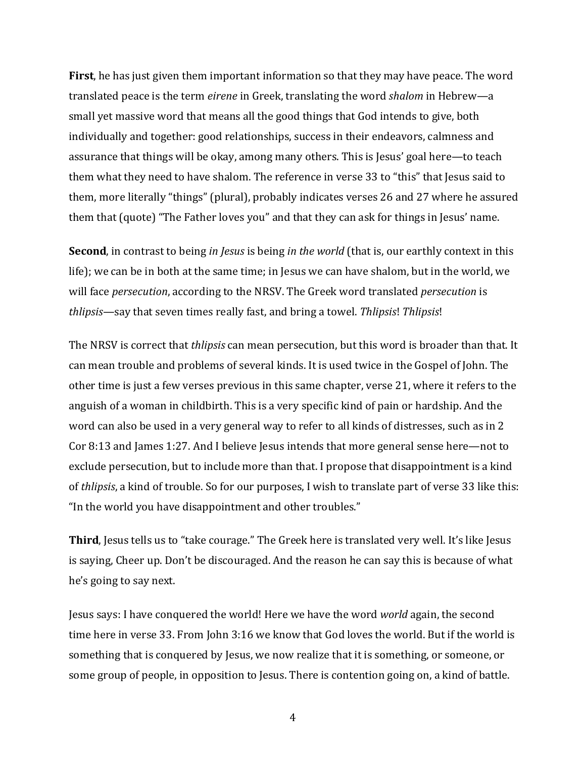**First**, he has just given them important information so that they may have peace. The word translated peace is the term *eirene* in Greek, translating the word *shalom* in Hebrew—a small yet massive word that means all the good things that God intends to give, both individually and together: good relationships, success in their endeavors, calmness and assurance that things will be okay, among many others. This is Jesus' goal here—to teach them what they need to have shalom. The reference in verse 33 to "this" that Jesus said to them, more literally "things" (plural), probably indicates verses 26 and 27 where he assured them that (quote) "The Father loves you" and that they can ask for things in Jesus' name.

**Second**, in contrast to being *in Jesus* is being *in the world* (that is, our earthly context in this life); we can be in both at the same time; in Jesus we can have shalom, but in the world, we will face *persecution*, according to the NRSV. The Greek word translated *persecution* is *thlipsis*—say that seven times really fast, and bring a towel. *Thlipsis*! *Thlipsis*!

The NRSV is correct that *thlipsis* can mean persecution, but this word is broader than that. It can mean trouble and problems of several kinds. It is used twice in the Gospel of John. The other time is just a few verses previous in this same chapter, verse 21, where it refers to the anguish of a woman in childbirth. This is a very specific kind of pain or hardship. And the word can also be used in a very general way to refer to all kinds of distresses, such as in 2 Cor 8:13 and James 1:27. And I believe Jesus intends that more general sense here—not to exclude persecution, but to include more than that. I propose that disappointment is a kind of *thlipsis*, a kind of trouble. So for our purposes, I wish to translate part of verse 33 like this: "In the world you have disappointment and other troubles."

**Third**, Jesus tells us to "take courage." The Greek here is translated very well. It's like Jesus is saying, Cheer up. Don't be discouraged. And the reason he can say this is because of what he's going to say next.

Jesus says: I have conquered the world! Here we have the word *world* again, the second time here in verse 33. From John 3:16 we know that God loves the world. But if the world is something that is conquered by Jesus, we now realize that it is something, or someone, or some group of people, in opposition to Jesus. There is contention going on, a kind of battle.

4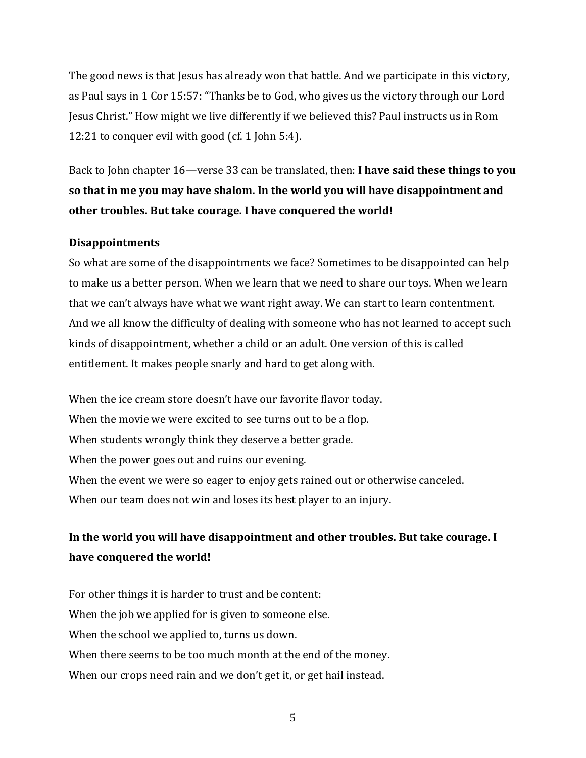The good news is that Jesus has already won that battle. And we participate in this victory, as Paul says in 1 Cor 15:57: "Thanks be to God, who gives us the victory through our Lord Jesus Christ." How might we live differently if we believed this? Paul instructs us in Rom 12:21 to conquer evil with good (cf. 1 John 5:4).

Back to John chapter 16—verse 33 can be translated, then: **I have said these things to you so that in me you may have shalom. In the world you will have disappointment and other troubles. But take courage. I have conquered the world!**

### **Disappointments**

So what are some of the disappointments we face? Sometimes to be disappointed can help to make us a better person. When we learn that we need to share our toys. When we learn that we can't always have what we want right away. We can start to learn contentment. And we all know the difficulty of dealing with someone who has not learned to accept such kinds of disappointment, whether a child or an adult. One version of this is called entitlement. It makes people snarly and hard to get along with.

When the ice cream store doesn't have our favorite flavor today. When the movie we were excited to see turns out to be a flop. When students wrongly think they deserve a better grade. When the power goes out and ruins our evening. When the event we were so eager to enjoy gets rained out or otherwise canceled. When our team does not win and loses its best player to an injury.

# **In the world you will have disappointment and other troubles. But take courage. I have conquered the world!**

For other things it is harder to trust and be content: When the job we applied for is given to someone else. When the school we applied to, turns us down. When there seems to be too much month at the end of the money. When our crops need rain and we don't get it, or get hail instead.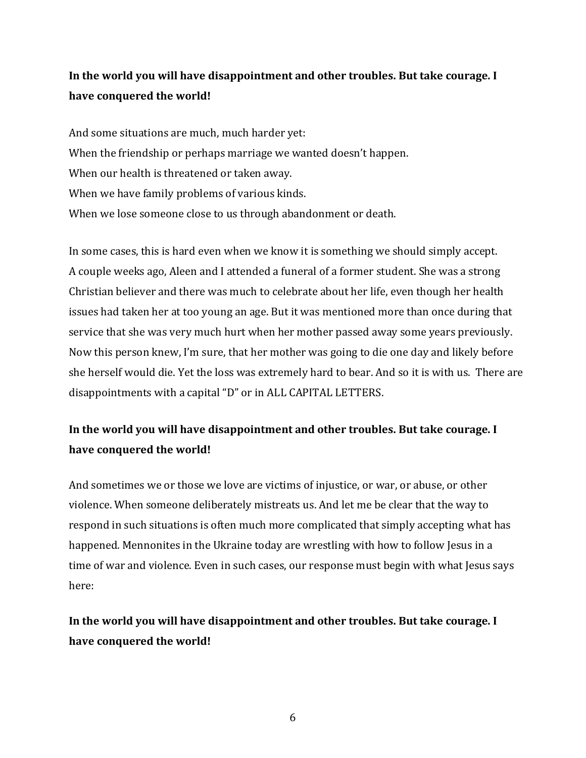## **In the world you will have disappointment and other troubles. But take courage. I have conquered the world!**

And some situations are much, much harder yet: When the friendship or perhaps marriage we wanted doesn't happen. When our health is threatened or taken away. When we have family problems of various kinds. When we lose someone close to us through abandonment or death.

In some cases, this is hard even when we know it is something we should simply accept. A couple weeks ago, Aleen and I attended a funeral of a former student. She was a strong Christian believer and there was much to celebrate about her life, even though her health issues had taken her at too young an age. But it was mentioned more than once during that service that she was very much hurt when her mother passed away some years previously. Now this person knew, I'm sure, that her mother was going to die one day and likely before she herself would die. Yet the loss was extremely hard to bear. And so it is with us. There are disappointments with a capital "D" or in ALL CAPITAL LETTERS.

## **In the world you will have disappointment and other troubles. But take courage. I have conquered the world!**

And sometimes we or those we love are victims of injustice, or war, or abuse, or other violence. When someone deliberately mistreats us. And let me be clear that the way to respond in such situations is often much more complicated that simply accepting what has happened. Mennonites in the Ukraine today are wrestling with how to follow Jesus in a time of war and violence. Even in such cases, our response must begin with what Jesus says here:

## **In the world you will have disappointment and other troubles. But take courage. I have conquered the world!**